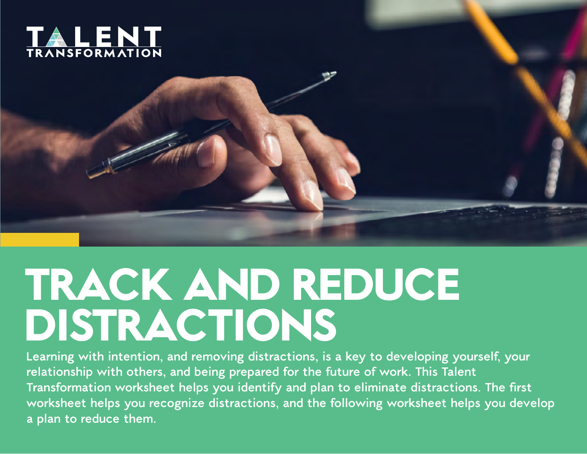



## **TRACK AND REDUCE DISTRACTIONS**

**Learning with intention, and removing distractions, is a key to developing yourself, your relationship with others, and being prepared for the future of work. This Talent**  Transformation worksheet helps you identify and plan to eliminate distractions. The first **worksheet helps you recognize distractions, and the following worksheet helps you develop a plan to reduce them.**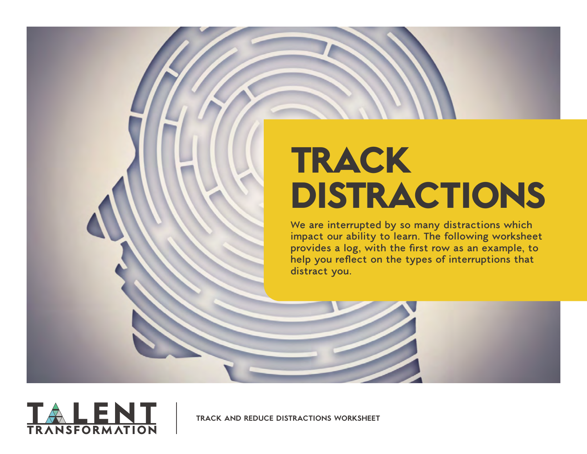## **TRACK DISTRACTIONS**

**We are interrupted by so many distractions which impact our ability to learn. The following worksheet provides a log, with the first row as an example, to help you reflect on the types of interruptions that distract you.**

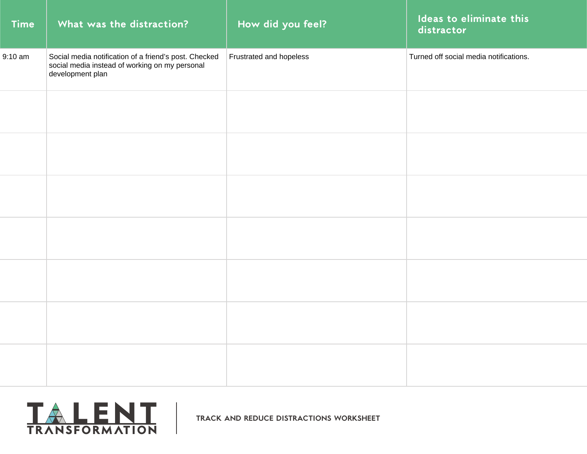| <b>Time</b> | What was the distraction?                                                                                                   | How did you feel?       | Ideas to eliminate this<br>distractor  |
|-------------|-----------------------------------------------------------------------------------------------------------------------------|-------------------------|----------------------------------------|
| $9:10$ am   | Social media notification of a friend's post. Checked<br>social media instead of working on my personal<br>development plan | Frustrated and hopeless | Turned off social media notifications. |
|             |                                                                                                                             |                         |                                        |
|             |                                                                                                                             |                         |                                        |
|             |                                                                                                                             |                         |                                        |
|             |                                                                                                                             |                         |                                        |
|             |                                                                                                                             |                         |                                        |
|             |                                                                                                                             |                         |                                        |
|             |                                                                                                                             |                         |                                        |

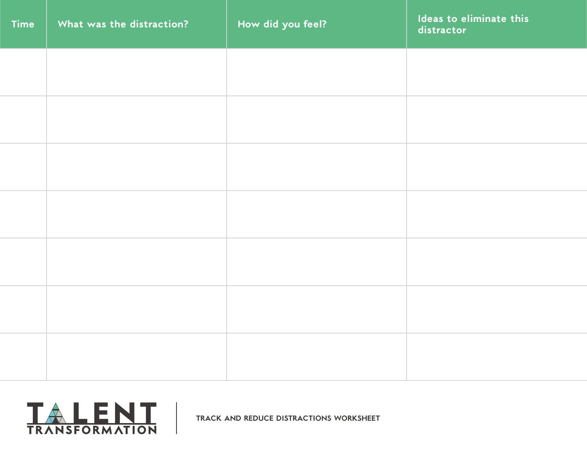| Time | What was the distraction? | How did you feel? | Ideas to eliminate this<br>distractor |
|------|---------------------------|-------------------|---------------------------------------|
|      |                           |                   |                                       |
|      |                           |                   |                                       |
|      |                           |                   |                                       |
|      |                           |                   |                                       |
|      |                           |                   |                                       |
|      |                           |                   |                                       |
|      |                           |                   |                                       |
|      |                           |                   |                                       |
|      |                           |                   |                                       |

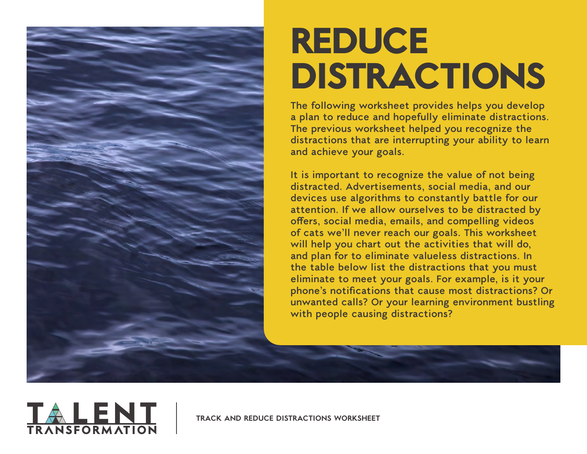

## **REDUCE DISTRACTIONS**

**The following worksheet provides helps you develop a plan to reduce and hopefully eliminate distractions. The previous worksheet helped you recognize the distractions that are interrupting your ability to learn and achieve your goals.** 

**It is important to recognize the value of not being distracted. Advertisements, social media, and our devices use algorithms to constantly battle for our attention. If we allow ourselves to be distracted by offers, social media, emails, and compelling videos of cats we'll never reach our goals. This worksheet will help you chart out the activities that will do, and plan for to eliminate valueless distractions. In the table below list the distractions that you must eliminate to meet your goals. For example, is it your phone's notifications that cause most distractions? Or unwanted calls? Or your learning environment bustling with people causing distractions?**